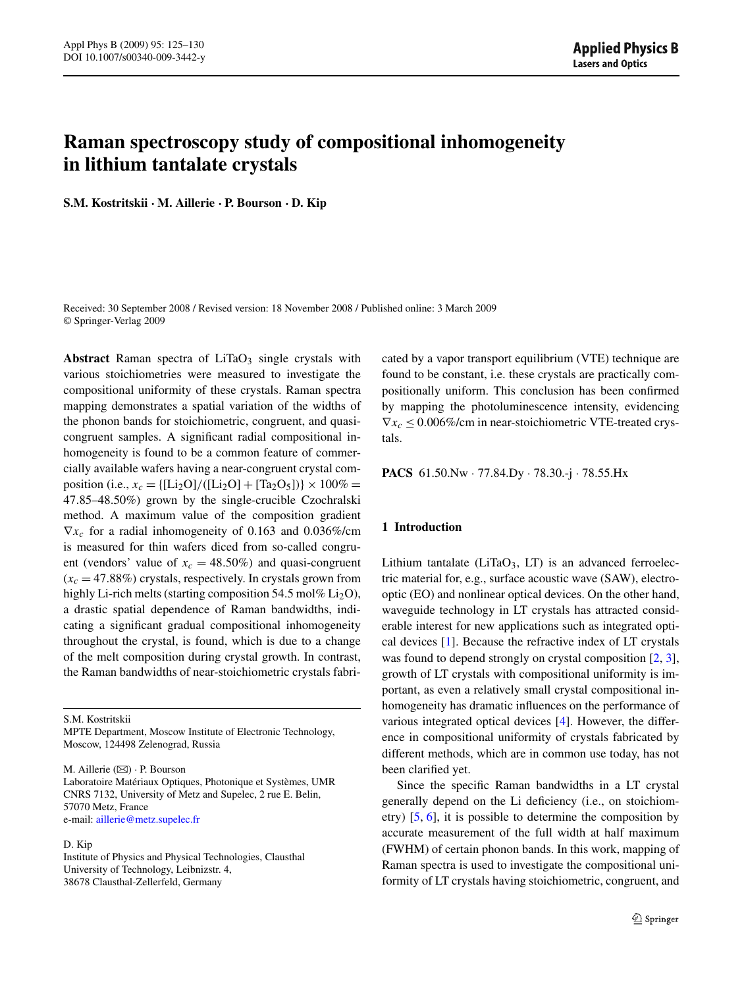# **Raman spectroscopy study of compositional inhomogeneity in lithium tantalate crystals**

**S.M. Kostritskii · M. Aillerie · P. Bourson · D. Kip**

Received: 30 September 2008 / Revised version: 18 November 2008 / Published online: 3 March 2009 © Springer-Verlag 2009

Abstract Raman spectra of LiTaO<sub>3</sub> single crystals with various stoichiometries were measured to investigate the compositional uniformity of these crystals. Raman spectra mapping demonstrates a spatial variation of the widths of the phonon bands for stoichiometric, congruent, and quasicongruent samples. A significant radial compositional inhomogeneity is found to be a common feature of commercially available wafers having a near-congruent crystal composition (i.e.,  $x_c = \frac{[Li_2O]}{[Li_2O] + [Ta_2O_5]} \times 100\%$  = 47*.*85–48.50%) grown by the single-crucible Czochralski method. A maximum value of the composition gradient ∇*xc* for a radial inhomogeneity of 0.163 and 0.036%/cm is measured for thin wafers diced from so-called congruent (vendors' value of  $x_c = 48.50\%$ ) and quasi-congruent  $(x_c = 47.88\%)$  crystals, respectively. In crystals grown from highly Li-rich melts (starting composition 54.5 mol% Li<sub>2</sub>O), a drastic spatial dependence of Raman bandwidths, indicating a significant gradual compositional inhomogeneity throughout the crystal, is found, which is due to a change of the melt composition during crystal growth. In contrast, the Raman bandwidths of near-stoichiometric crystals fabri-

S.M. Kostritskii

MPTE Department, Moscow Institute of Electronic Technology, Moscow, 124498 Zelenograd, Russia

M. Aillerie (⊠) · P. Bourson Laboratoire Matériaux Optiques, Photonique et Systèmes, UMR CNRS 7132, University of Metz and Supelec, 2 rue E. Belin, 57070 Metz, France e-mail: [aillerie@metz.supelec.fr](mailto:aillerie@metz.supelec.fr)

D. Kip

Institute of Physics and Physical Technologies, Clausthal University of Technology, Leibnizstr. 4, 38678 Clausthal-Zellerfeld, Germany

cated by a vapor transport equilibrium (VTE) technique are found to be constant, i.e. these crystals are practically compositionally uniform. This conclusion has been confirmed by mapping the photoluminescence intensity, evidencing  $\nabla x_c \leq 0.006\%$ /cm in near-stoichiometric VTE-treated crystals.

**PACS** 61.50.Nw · 77.84.Dy · 78.30.-j · 78.55.Hx

#### **1 Introduction**

Lithium tantalate (LiTaO<sub>3</sub>, LT) is an advanced ferroelectric material for, e.g., surface acoustic wave (SAW), electrooptic (EO) and nonlinear optical devices. On the other hand, waveguide technology in LT crystals has attracted considerable interest for new applications such as integrated optical devices [[1\]](#page-5-0). Because the refractive index of LT crystals was found to depend strongly on crystal composition [\[2](#page-5-0), [3](#page-5-0)], growth of LT crystals with compositional uniformity is important, as even a relatively small crystal compositional inhomogeneity has dramatic influences on the performance of various integrated optical devices [\[4](#page-5-0)]. However, the difference in compositional uniformity of crystals fabricated by different methods, which are in common use today, has not been clarified yet.

Since the specific Raman bandwidths in a LT crystal generally depend on the Li deficiency (i.e., on stoichiometry) [\[5](#page-5-0), [6](#page-5-0)], it is possible to determine the composition by accurate measurement of the full width at half maximum (FWHM) of certain phonon bands. In this work, mapping of Raman spectra is used to investigate the compositional uniformity of LT crystals having stoichiometric, congruent, and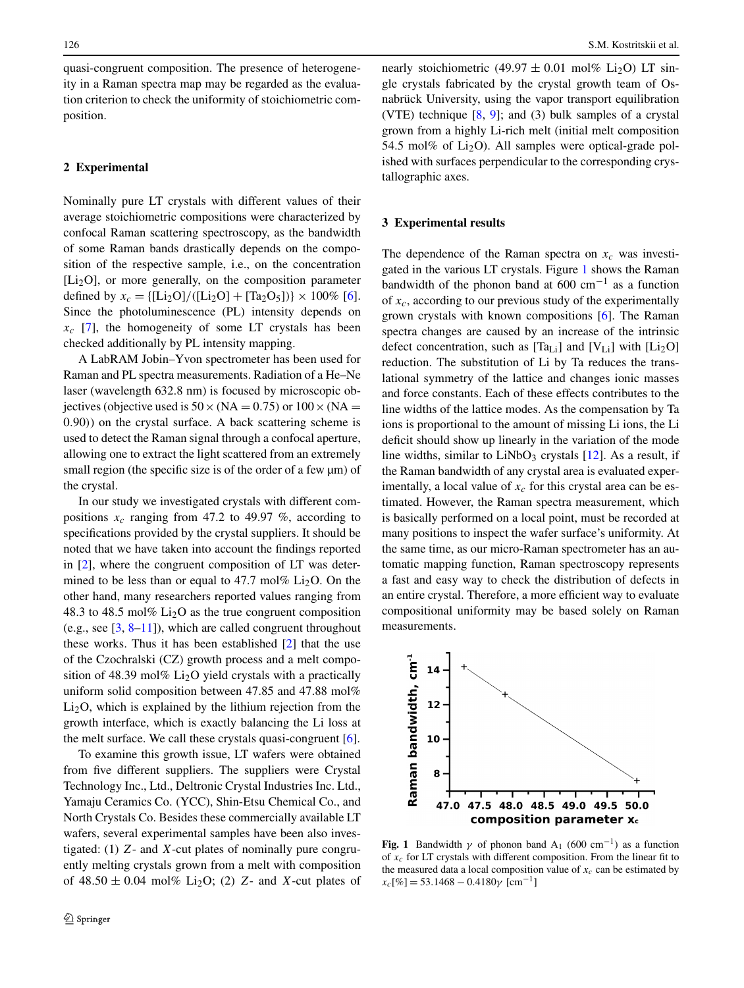quasi-congruent composition. The presence of heterogeneity in a Raman spectra map may be regarded as the evaluation criterion to check the uniformity of stoichiometric composition.

#### **2 Experimental**

Nominally pure LT crystals with different values of their average stoichiometric compositions were characterized by confocal Raman scattering spectroscopy, as the bandwidth of some Raman bands drastically depends on the composition of the respective sample, i.e., on the concentration  $[Li<sub>2</sub>O]$ , or more generally, on the composition parameter defined by  $x_c = \frac{[Li_2O]}{([Li_2O] + [Ta_2O_5])} \times 100\%$  [\[6](#page-5-0)]. Since the photoluminescence (PL) intensity depends on  $x_c$  [[7\]](#page-5-0), the homogeneity of some LT crystals has been checked additionally by PL intensity mapping.

A LabRAM Jobin–Yvon spectrometer has been used for Raman and PL spectra measurements. Radiation of a He–Ne laser (wavelength 632.8 nm) is focused by microscopic objectives (objective used is  $50 \times (NA = 0.75)$  or  $100 \times (NA = 0.75)$ 0*.*90*)*) on the crystal surface. A back scattering scheme is used to detect the Raman signal through a confocal aperture, allowing one to extract the light scattered from an extremely small region (the specific size is of the order of a few  $\mu$ m) of the crystal.

In our study we investigated crystals with different compositions  $x_c$  ranging from 47.2 to 49.97 %, according to specifications provided by the crystal suppliers. It should be noted that we have taken into account the findings reported in [[2\]](#page-5-0), where the congruent composition of LT was determined to be less than or equal to  $47.7 \text{ mol\%~Li}_2\text{O}$ . On the other hand, many researchers reported values ranging from 48.3 to 48.5 mol%  $Li<sub>2</sub>O$  as the true congruent composition (e.g., see  $[3, 8-11]$  $[3, 8-11]$ ), which are called congruent throughout these works. Thus it has been established [\[2](#page-5-0)] that the use of the Czochralski (CZ) growth process and a melt composition of 48.39 mol%  $Li<sub>2</sub>O$  yield crystals with a practically uniform solid composition between 47.85 and 47.88 mol%  $Li<sub>2</sub>O$ , which is explained by the lithium rejection from the growth interface, which is exactly balancing the Li loss at the melt surface. We call these crystals quasi-congruent [[6\]](#page-5-0).

To examine this growth issue, LT wafers were obtained from five different suppliers. The suppliers were Crystal Technology Inc., Ltd., Deltronic Crystal Industries Inc. Ltd., Yamaju Ceramics Co. *(*YCC), Shin-Etsu Chemical Co., and North Crystals Co. Besides these commercially available LT wafers, several experimental samples have been also investigated: (1) *Z*- and *X*-cut plates of nominally pure congruently melting crystals grown from a melt with composition of  $48.50 \pm 0.04$  mol% Li<sub>2</sub>O; (2) *Z*- and *X*-cut plates of nearly stoichiometric (49.97  $\pm$  0.01 mol% Li<sub>2</sub>O) LT single crystals fabricated by the crystal growth team of Osnabrück University, using the vapor transport equilibration (VTE) technique  $[8, 9]$  $[8, 9]$  $[8, 9]$  $[8, 9]$ ; and  $(3)$  bulk samples of a crystal grown from a highly Li-rich melt (initial melt composition 54.5 mol% of  $Li<sub>2</sub>O$ ). All samples were optical-grade polished with surfaces perpendicular to the corresponding crystallographic axes.

### **3 Experimental results**

The dependence of the Raman spectra on  $x_c$  was investigated in the various LT crystals. Figure 1 shows the Raman bandwidth of the phonon band at 600 cm<sup>-1</sup> as a function of *xc*, according to our previous study of the experimentally grown crystals with known compositions [[6\]](#page-5-0). The Raman spectra changes are caused by an increase of the intrinsic defect concentration, such as  $[Ta_{Li}]$  and  $[V_{Li}]$  with  $[Li_2O]$ reduction. The substitution of Li by Ta reduces the translational symmetry of the lattice and changes ionic masses and force constants. Each of these effects contributes to the line widths of the lattice modes. As the compensation by Ta ions is proportional to the amount of missing Li ions, the Li deficit should show up linearly in the variation of the mode line widths, similar to  $LiNbO<sub>3</sub>$  crystals [[12\]](#page-5-0). As a result, if the Raman bandwidth of any crystal area is evaluated experimentally, a local value of  $x_c$  for this crystal area can be estimated. However, the Raman spectra measurement, which is basically performed on a local point, must be recorded at many positions to inspect the wafer surface's uniformity. At the same time, as our micro-Raman spectrometer has an automatic mapping function, Raman spectroscopy represents a fast and easy way to check the distribution of defects in an entire crystal. Therefore, a more efficient way to evaluate compositional uniformity may be based solely on Raman measurements.



**Fig. 1** Bandwidth  $\gamma$  of phonon band A<sub>1</sub> (600 cm<sup>-1</sup>) as a function of *xc* for LT crystals with different composition. From the linear fit to the measured data a local composition value of  $x_c$  can be estimated by  $x_c$ [%] = 53.1468 – 0.4180 $\gamma$  [cm<sup>-1</sup>]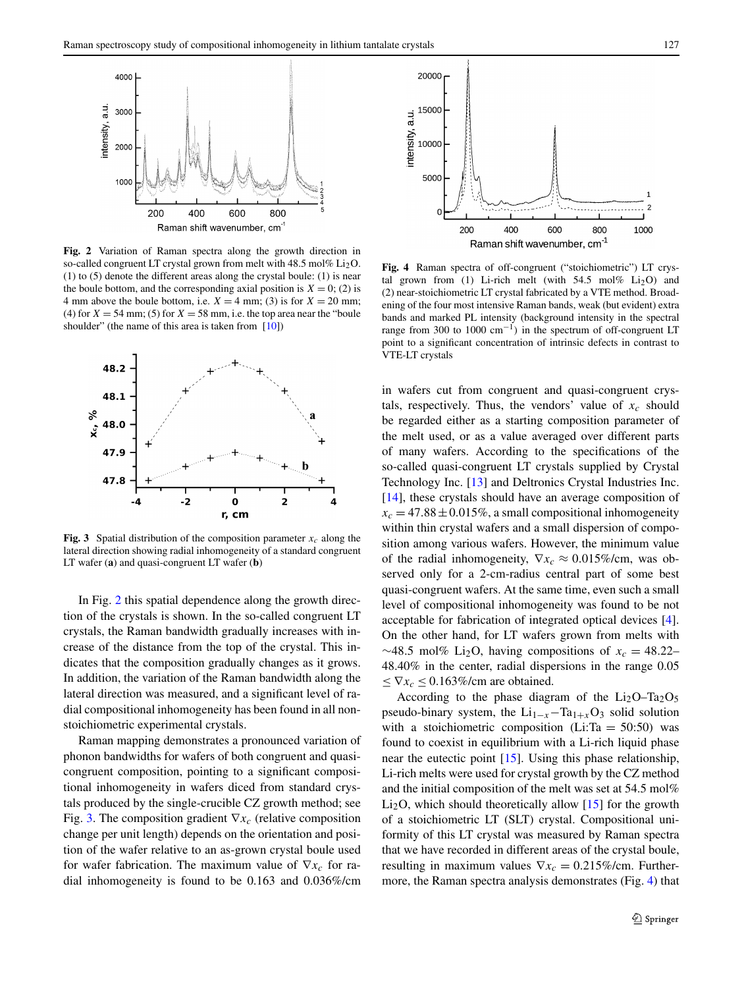<span id="page-2-0"></span>

**Fig. 2** Variation of Raman spectra along the growth direction in so-called congruent LT crystal grown from melt with  $48.5 \text{ mol\% Li}_2\text{O}$ . (1) to (5) denote the different areas along the crystal boule: (1) is near the boule bottom, and the corresponding axial position is  $X = 0$ ; (2) is 4 mm above the boule bottom, i.e.  $X = 4$  mm; (3) is for  $X = 20$  mm; (4) for  $X = 54$  mm; (5) for  $X = 58$  mm, i.e. the top area near the "boule shoulder" (the name of this area is taken from [[10](#page-5-0)])



**Fig. 3** Spatial distribution of the composition parameter  $x_c$  along the lateral direction showing radial inhomogeneity of a standard congruent LT wafer (**a**) and quasi-congruent LT wafer (**b**)

In Fig. 2 this spatial dependence along the growth direction of the crystals is shown. In the so-called congruent LT crystals, the Raman bandwidth gradually increases with increase of the distance from the top of the crystal. This indicates that the composition gradually changes as it grows. In addition, the variation of the Raman bandwidth along the lateral direction was measured, and a significant level of radial compositional inhomogeneity has been found in all nonstoichiometric experimental crystals.

Raman mapping demonstrates a pronounced variation of phonon bandwidths for wafers of both congruent and quasicongruent composition, pointing to a significant compositional inhomogeneity in wafers diced from standard crystals produced by the single-crucible CZ growth method; see Fig. 3. The composition gradient ∇*xc* (relative composition change per unit length) depends on the orientation and position of the wafer relative to an as-grown crystal boule used for wafer fabrication. The maximum value of  $\nabla x_c$  for radial inhomogeneity is found to be 0.163 and 0.036%/cm



**Fig. 4** Raman spectra of off-congruent ("stoichiometric") LT crystal grown from (1) Li-rich melt (with  $54.5 \text{ mol\% Li}_2\text{O}$ ) and (2) near-stoichiometric LT crystal fabricated by a VTE method. Broadening of the four most intensive Raman bands, weak (but evident) extra bands and marked PL intensity (background intensity in the spectral range from 300 to 1000 cm−1*)* in the spectrum of off-congruent LT point to a significant concentration of intrinsic defects in contrast to VTE-LT crystals

in wafers cut from congruent and quasi-congruent crystals, respectively. Thus, the vendors' value of  $x_c$  should be regarded either as a starting composition parameter of the melt used, or as a value averaged over different parts of many wafers. According to the specifications of the so-called quasi-congruent LT crystals supplied by Crystal Technology Inc. [\[13](#page-5-0)] and Deltronics Crystal Industries Inc. [\[14](#page-5-0)], these crystals should have an average composition of  $x_c = 47.88 \pm 0.015\%$ , a small compositional inhomogeneity within thin crystal wafers and a small dispersion of composition among various wafers. However, the minimum value of the radial inhomogeneity,  $\nabla x_c \approx 0.015\%$ /cm, was observed only for a 2-cm-radius central part of some best quasi-congruent wafers. At the same time, even such a small level of compositional inhomogeneity was found to be not acceptable for fabrication of integrated optical devices [\[4](#page-5-0)]. On the other hand, for LT wafers grown from melts with  $\sim$ 48.5 mol% Li<sub>2</sub>O, having compositions of  $x_c = 48.22-$ 48.40% in the center, radial dispersions in the range 0.05  $\leq \nabla x_c \leq 0.163\%$ /cm are obtained.

According to the phase diagram of the  $Li_2O$ –Ta<sub>2</sub>O<sub>5</sub> pseudo-binary system, the  $Li_{1-x}$ −Ta<sub>1+*x*</sub>O<sub>3</sub> solid solution with a stoichiometric composition (Li:Ta =  $50:50$ ) was found to coexist in equilibrium with a Li-rich liquid phase near the eutectic point [[15\]](#page-5-0). Using this phase relationship, Li-rich melts were used for crystal growth by the CZ method and the initial composition of the melt was set at 54.5 mol%  $Li<sub>2</sub>O$ , which should theoretically allow [[15\]](#page-5-0) for the growth of a stoichiometric LT (SLT) crystal. Compositional uniformity of this LT crystal was measured by Raman spectra that we have recorded in different areas of the crystal boule, resulting in maximum values  $\nabla x_c = 0.215\%$ /cm. Furthermore, the Raman spectra analysis demonstrates (Fig. 4) that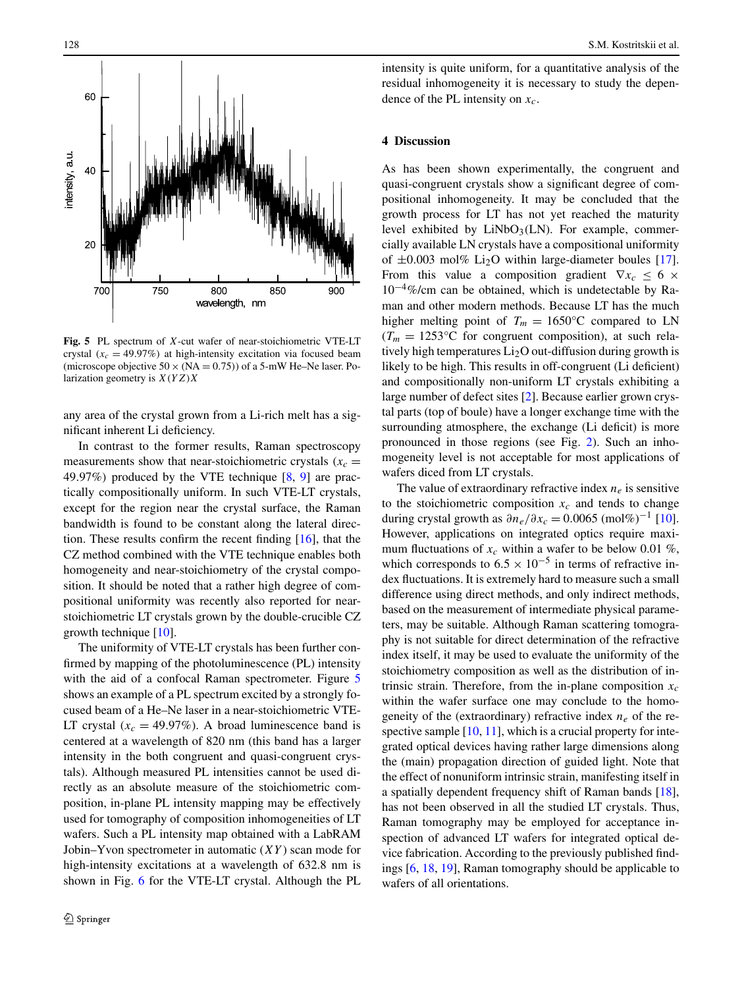

**Fig. 5** PL spectrum of *X*-cut wafer of near-stoichiometric VTE-LT crystal  $(x_c = 49.97\%)$  at high-intensity excitation via focused beam (microscope objective  $50 \times (NA = 0.75)$ ) of a 5-mW He–Ne laser. Polarization geometry is *X(YZ)X*

any area of the crystal grown from a Li-rich melt has a significant inherent Li deficiency.

In contrast to the former results, Raman spectroscopy measurements show that near-stoichiometric crystals  $(x_c =$ 49*.*97%*)* produced by the VTE technique [\[8](#page-5-0), [9](#page-5-0)] are practically compositionally uniform. In such VTE-LT crystals, except for the region near the crystal surface, the Raman bandwidth is found to be constant along the lateral direction. These results confirm the recent finding [[16\]](#page-5-0), that the CZ method combined with the VTE technique enables both homogeneity and near-stoichiometry of the crystal composition. It should be noted that a rather high degree of compositional uniformity was recently also reported for nearstoichiometric LT crystals grown by the double-crucible CZ growth technique [[10\]](#page-5-0).

The uniformity of VTE-LT crystals has been further confirmed by mapping of the photoluminescence (PL) intensity with the aid of a confocal Raman spectrometer. Figure 5 shows an example of a PL spectrum excited by a strongly focused beam of a He–Ne laser in a near-stoichiometric VTE-LT crystal  $(x_c = 49.97\%)$ . A broad luminescence band is centered at a wavelength of 820 nm (this band has a larger intensity in the both congruent and quasi-congruent crystals). Although measured PL intensities cannot be used directly as an absolute measure of the stoichiometric composition, in-plane PL intensity mapping may be effectively used for tomography of composition inhomogeneities of LT wafers. Such a PL intensity map obtained with a LabRAM Jobin–Yvon spectrometer in automatic (*XY* ) scan mode for high-intensity excitations at a wavelength of 632.8 nm is shown in Fig. [6](#page-4-0) for the VTE-LT crystal. Although the PL

intensity is quite uniform, for a quantitative analysis of the residual inhomogeneity it is necessary to study the dependence of the PL intensity on  $x_c$ .

### **4 Discussion**

As has been shown experimentally, the congruent and quasi-congruent crystals show a significant degree of compositional inhomogeneity. It may be concluded that the growth process for LT has not yet reached the maturity level exhibited by LiNbO<sub>3</sub>(LN). For example, commercially available LN crystals have a compositional uniformity of  $\pm 0.003$  mol% Li<sub>2</sub>O within large-diameter boules [\[17](#page-5-0)]. From this value a composition gradient  $\nabla x_c \leq 6 \times$  $10^{-4}\%$ /cm can be obtained, which is undetectable by Raman and other modern methods. Because LT has the much higher melting point of  $T_m = 1650^{\circ}\text{C}$  compared to LN  $(T_m = 1253$ °C for congruent composition), at such relatively high temperatures  $Li<sub>2</sub>O$  out-diffusion during growth is likely to be high. This results in off-congruent (Li deficient) and compositionally non-uniform LT crystals exhibiting a large number of defect sites [[2\]](#page-5-0). Because earlier grown crystal parts (top of boule) have a longer exchange time with the surrounding atmosphere, the exchange (Li deficit) is more pronounced in those regions (see Fig. [2](#page-2-0)). Such an inhomogeneity level is not acceptable for most applications of wafers diced from LT crystals.

The value of extraordinary refractive index  $n_e$  is sensitive to the stoichiometric composition  $x_c$  and tends to change during crystal growth as  $\partial n_e/\partial x_c = 0.0065 \pmod{6}^{-1}$  [\[10](#page-5-0)]. However, applications on integrated optics require maximum fluctuations of  $x_c$  within a wafer to be below 0.01 %, which corresponds to  $6.5 \times 10^{-5}$  in terms of refractive index fluctuations. It is extremely hard to measure such a small difference using direct methods, and only indirect methods, based on the measurement of intermediate physical parameters, may be suitable. Although Raman scattering tomography is not suitable for direct determination of the refractive index itself, it may be used to evaluate the uniformity of the stoichiometry composition as well as the distribution of intrinsic strain. Therefore, from the in-plane composition  $x_c$ within the wafer surface one may conclude to the homogeneity of the (extraordinary) refractive index  $n_e$  of the re-spective sample [[10,](#page-5-0) [11](#page-5-0)], which is a crucial property for integrated optical devices having rather large dimensions along the (main) propagation direction of guided light. Note that the effect of nonuniform intrinsic strain, manifesting itself in a spatially dependent frequency shift of Raman bands [\[18](#page-5-0)], has not been observed in all the studied LT crystals. Thus, Raman tomography may be employed for acceptance inspection of advanced LT wafers for integrated optical device fabrication. According to the previously published findings [\[6](#page-5-0), [18](#page-5-0), [19\]](#page-5-0), Raman tomography should be applicable to wafers of all orientations.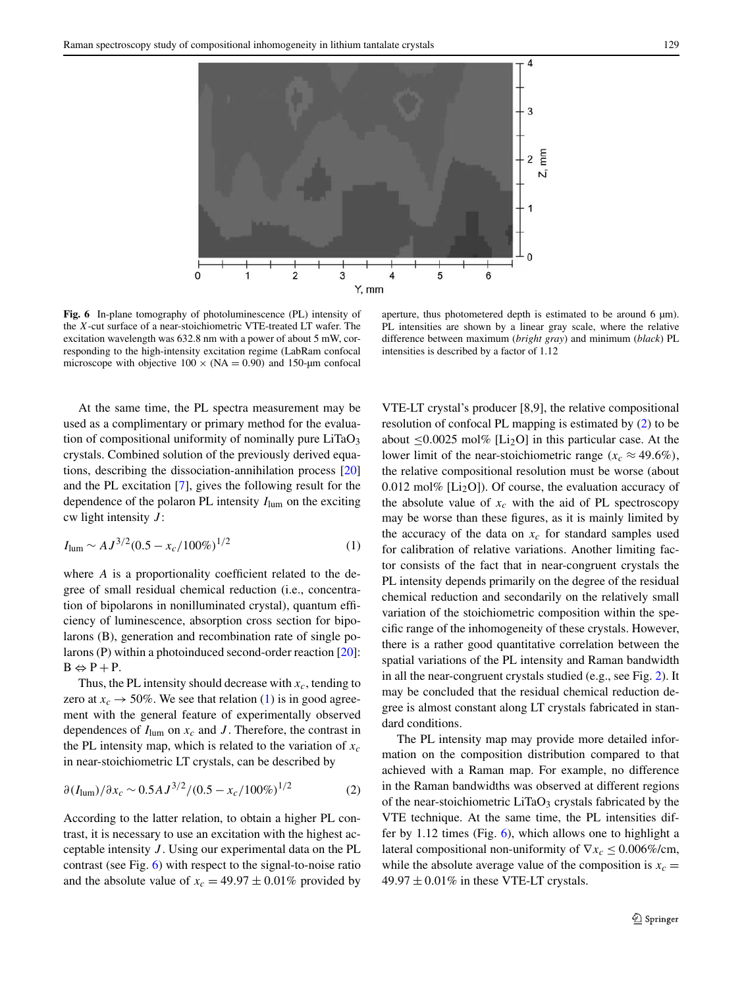<span id="page-4-0"></span>

**Fig. 6** In-plane tomography of photoluminescence (PL) intensity of the *X*-cut surface of a near-stoichiometric VTE-treated LT wafer. The excitation wavelength was 632.8 nm with a power of about 5 mW, corresponding to the high-intensity excitation regime (LabRam confocal microscope with objective  $100 \times (NA = 0.90)$  and  $150$ -µm confocal

aperture, thus photometered depth is estimated to be around 6  $\mu$ m). PL intensities are shown by a linear gray scale, where the relative difference between maximum (*bright gray*) and minimum (*black*) PL intensities is described by a factor of 1.12

At the same time, the PL spectra measurement may be used as a complimentary or primary method for the evaluation of compositional uniformity of nominally pure  $LiTaO<sub>3</sub>$ crystals. Combined solution of the previously derived equations, describing the dissociation-annihilation process [[20\]](#page-5-0) and the PL excitation [\[7](#page-5-0)], gives the following result for the dependence of the polaron PL intensity *I*lum on the exciting cw light intensity *J* :

$$
I_{\text{lum}} \sim A J^{3/2} (0.5 - x_c / 100\%)^{1/2} \tag{1}
$$

where *A* is a proportionality coefficient related to the degree of small residual chemical reduction (i.e., concentration of bipolarons in nonilluminated crystal), quantum efficiency of luminescence, absorption cross section for bipolarons (B), generation and recombination rate of single polarons (P) within a photoinduced second-order reaction [[20\]](#page-5-0):  $B \Leftrightarrow P + P$ .

Thus, the PL intensity should decrease with  $x_c$ , tending to zero at  $x_c \rightarrow 50\%$ . We see that relation (1) is in good agreement with the general feature of experimentally observed dependences of  $I_{\text{lum}}$  on  $x_c$  and  $J$ . Therefore, the contrast in the PL intensity map, which is related to the variation of  $x_c$ in near-stoichiometric LT crystals, can be described by

$$
\partial (I_{\text{lum}})/\partial x_c \sim 0.5 A J^{3/2}/(0.5 - x_c/100\%)^{1/2}
$$
 (2)

According to the latter relation, to obtain a higher PL contrast, it is necessary to use an excitation with the highest acceptable intensity *J* . Using our experimental data on the PL contrast (see Fig. 6) with respect to the signal-to-noise ratio and the absolute value of  $x_c = 49.97 \pm 0.01\%$  provided by

VTE-LT crystal's producer [8,9], the relative compositional resolution of confocal PL mapping is estimated by (2) to be about  $\leq 0.0025$  mol% [Li<sub>2</sub>O] in this particular case. At the lower limit of the near-stoichiometric range  $(x_c \approx 49.6\%)$ , the relative compositional resolution must be worse (about  $0.012 \text{ mol\%}$  [Li<sub>2</sub>O]). Of course, the evaluation accuracy of the absolute value of  $x_c$  with the aid of PL spectroscopy may be worse than these figures, as it is mainly limited by the accuracy of the data on  $x_c$  for standard samples used for calibration of relative variations. Another limiting factor consists of the fact that in near-congruent crystals the PL intensity depends primarily on the degree of the residual chemical reduction and secondarily on the relatively small variation of the stoichiometric composition within the specific range of the inhomogeneity of these crystals. However, there is a rather good quantitative correlation between the spatial variations of the PL intensity and Raman bandwidth in all the near-congruent crystals studied (e.g., see Fig. [2\)](#page-2-0). It may be concluded that the residual chemical reduction degree is almost constant along LT crystals fabricated in standard conditions.

The PL intensity map may provide more detailed information on the composition distribution compared to that achieved with a Raman map. For example, no difference in the Raman bandwidths was observed at different regions of the near-stoichiometric  $LiTaO<sub>3</sub>$  crystals fabricated by the VTE technique. At the same time, the PL intensities differ by 1.12 times (Fig.  $6$ ), which allows one to highlight a lateral compositional non-uniformity of  $\nabla x_c \leq 0.006\%$ /cm, while the absolute average value of the composition is  $x_c$  =  $49.97 \pm 0.01\%$  in these VTE-LT crystals.